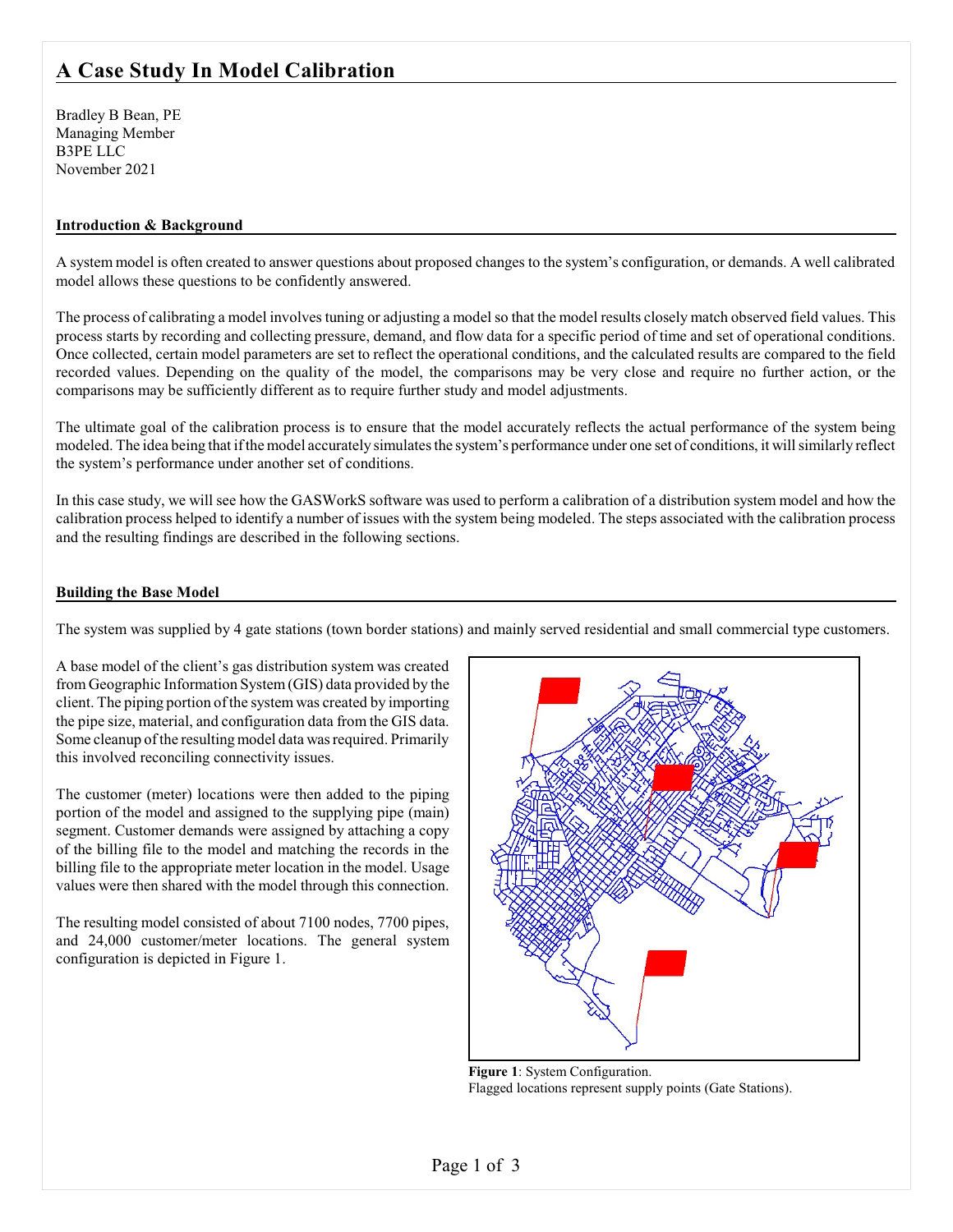# **A Case Study In Model Calibration**

Bradley B Bean, PE Managing Member B3PE LLC November 2021

## **Introduction & Background**

A system model is often created to answer questions about proposed changes to the system's configuration, or demands. A well calibrated model allows these questions to be confidently answered.

The process of calibrating a model involves tuning or adjusting a model so that the model results closely match observed field values. This process starts by recording and collecting pressure, demand, and flow data for a specific period of time and set of operational conditions. Once collected, certain model parameters are set to reflect the operational conditions, and the calculated results are compared to the field recorded values. Depending on the quality of the model, the comparisons may be very close and require no further action, or the comparisons may be sufficiently different as to require further study and model adjustments.

The ultimate goal of the calibration process is to ensure that the model accurately reflects the actual performance of the system being modeled. The idea being that ifthe model accurately simulates the system's performance under one set of conditions, it will similarly reflect the system's performance under another set of conditions.

In this case study, we will see how the GASWorkS software was used to perform a calibration of a distribution system model and how the calibration process helped to identify a number of issues with the system being modeled. The steps associated with the calibration process and the resulting findings are described in the following sections.

#### **Building the Base Model**

The system was supplied by 4 gate stations (town border stations) and mainly served residential and small commercial type customers.

A base model of the client's gas distribution system was created from Geographic Information System(GIS) data provided by the client. The piping portion of the system was created by importing the pipe size, material, and configuration data from the GIS data. Some cleanup of the resulting model data was required. Primarily this involved reconciling connectivity issues.

The customer (meter) locations were then added to the piping portion of the model and assigned to the supplying pipe (main) segment. Customer demands were assigned by attaching a copy of the billing file to the model and matching the records in the billing file to the appropriate meter location in the model. Usage values were then shared with the model through this connection.

The resulting model consisted of about 7100 nodes, 7700 pipes, and 24,000 customer/meter locations. The general system configuration is depicted in Figure 1.



**Figure 1**: System Configuration. Flagged locations represent supply points (Gate Stations).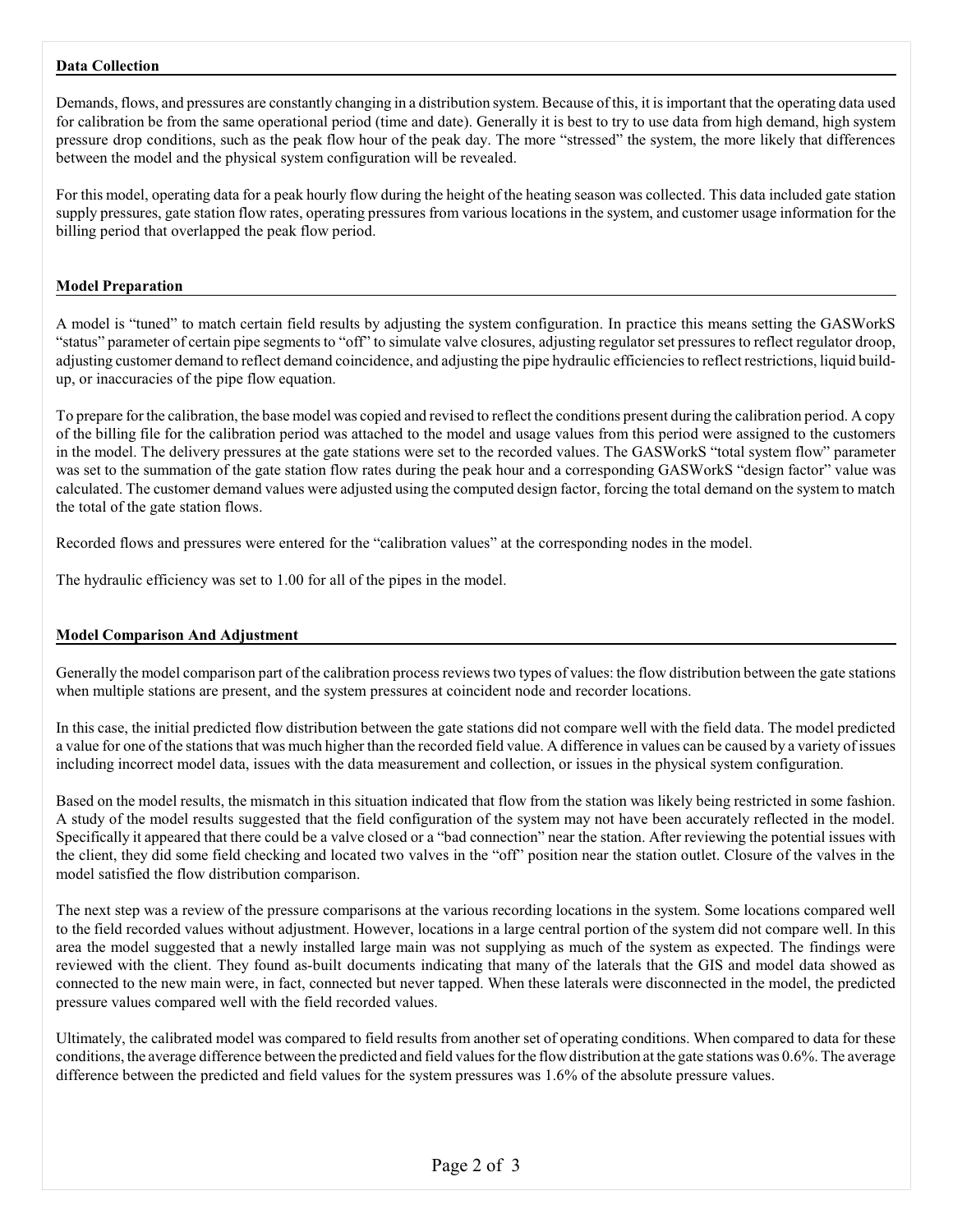# **Data Collection**

Demands, flows, and pressures are constantly changing in a distribution system. Because of this, it is important that the operating data used for calibration be from the same operational period (time and date). Generally it is best to try to use data from high demand, high system pressure drop conditions, such as the peak flow hour of the peak day. The more "stressed" the system, the more likely that differences between the model and the physical system configuration will be revealed.

For this model, operating data for a peak hourly flow during the height of the heating season was collected. This data included gate station supply pressures, gate station flow rates, operating pressures from various locations in the system, and customer usage information for the billing period that overlapped the peak flow period.

#### **Model Preparation**

A model is "tuned" to match certain field results by adjusting the system configuration. In practice this means setting the GASWorkS "status" parameter of certain pipe segments to "off" to simulate valve closures, adjusting regulator set pressures to reflect regulator droop, adjusting customer demand to reflect demand coincidence, and adjusting the pipe hydraulic efficiencies to reflect restrictions, liquid buildup, or inaccuracies of the pipe flow equation.

To prepare for the calibration, the base model was copied and revised to reflect the conditions present during the calibration period. A copy of the billing file for the calibration period was attached to the model and usage values from this period were assigned to the customers in the model. The delivery pressures at the gate stations were set to the recorded values. The GASWorkS "total system flow" parameter was set to the summation of the gate station flow rates during the peak hour and a corresponding GASWorkS "design factor" value was calculated. The customer demand values were adjusted using the computed design factor, forcing the total demand on the system to match the total of the gate station flows.

Recorded flows and pressures were entered for the "calibration values" at the corresponding nodes in the model.

The hydraulic efficiency was set to 1.00 for all of the pipes in the model.

#### **Model Comparison And Adjustment**

Generally the model comparison part of the calibration process reviews two types of values: the flow distribution between the gate stations when multiple stations are present, and the system pressures at coincident node and recorder locations.

In this case, the initial predicted flow distribution between the gate stations did not compare well with the field data. The model predicted a value for one of the stations that was much higher than the recorded field value. A difference in values can be caused by a variety of issues including incorrect model data, issues with the data measurement and collection, or issues in the physical system configuration.

Based on the model results, the mismatch in this situation indicated that flow from the station was likely being restricted in some fashion. A study of the model results suggested that the field configuration of the system may not have been accurately reflected in the model. Specifically it appeared that there could be a valve closed or a "bad connection" near the station. After reviewing the potential issues with the client, they did some field checking and located two valves in the "off" position near the station outlet. Closure of the valves in the model satisfied the flow distribution comparison.

The next step was a review of the pressure comparisons at the various recording locations in the system. Some locations compared well to the field recorded values without adjustment. However, locations in a large central portion of the system did not compare well. In this area the model suggested that a newly installed large main was not supplying as much of the system as expected. The findings were reviewed with the client. They found as-built documents indicating that many of the laterals that the GIS and model data showed as connected to the new main were, in fact, connected but never tapped. When these laterals were disconnected in the model, the predicted pressure values compared well with the field recorded values.

Ultimately, the calibrated model was compared to field results from another set of operating conditions. When compared to data for these conditions, the average difference between the predicted and field values for the flowdistribution at the gate stations was 0.6%. The average difference between the predicted and field values for the system pressures was 1.6% of the absolute pressure values.